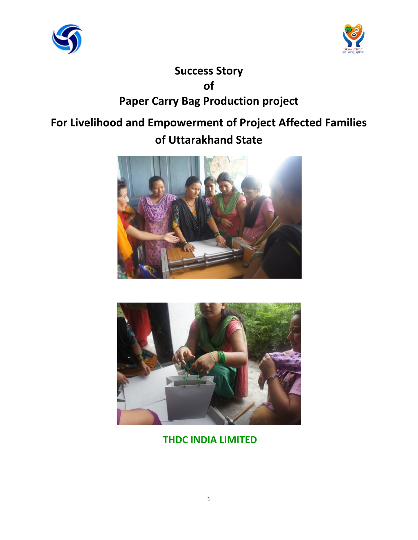



# **Success Story of Paper Carry Bag Production project**

# **For Livelihood and Empowerment of Project Affected Families of Uttarakhand State**





**THDC INDIA LIMITED**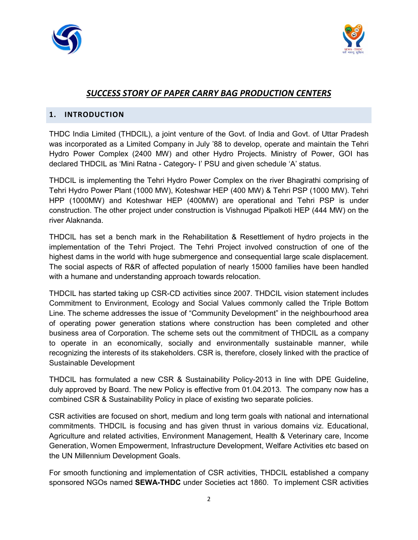



# *SUCCESS STORY OF PAPER CARRY BAG PRODUCTION CENTERS*

# **1. INTRODUCTION**

THDC India Limited (THDCIL), a joint venture of the Govt. of India and Govt. of Uttar Pradesh was incorporated as a Limited Company in July '88 to develop, operate and maintain the Tehri Hydro Power Complex (2400 MW) and other Hydro Projects. Ministry of Power, GOI has declared THDCIL as 'Mini Ratna - Category- I' PSU and given schedule 'A' status.

THDCIL is implementing the Tehri Hydro Power Complex on the river Bhagirathi comprising of Tehri Hydro Power Plant (1000 MW), Koteshwar HEP (400 MW) & Tehri PSP (1000 MW). Tehri HPP (1000MW) and Koteshwar HEP (400MW) are operational and Tehri PSP is under construction. The other project under construction is Vishnugad Pipalkoti HEP (444 MW) on the river Alaknanda.

THDCIL has set a bench mark in the Rehabilitation & Resettlement of hydro projects in the implementation of the Tehri Project. The Tehri Project involved construction of one of the highest dams in the world with huge submergence and consequential large scale displacement. The social aspects of R&R of affected population of nearly 15000 families have been handled with a humane and understanding approach towards relocation.

THDCIL has started taking up CSR-CD activities since 2007. THDCIL vision statement includes Commitment to Environment, Ecology and Social Values commonly called the Triple Bottom Line. The scheme addresses the issue of "Community Development" in the neighbourhood area of operating power generation stations where construction has been completed and other business area of Corporation. The scheme sets out the commitment of THDCIL as a company to operate in an economically, socially and environmentally sustainable manner, while recognizing the interests of its stakeholders. CSR is, therefore, closely linked with the practice of Sustainable Development

THDCIL has formulated a new CSR & Sustainability Policy-2013 in line with DPE Guideline, duly approved by Board. The new Policy is effective from 01.04.2013. The company now has a combined CSR & Sustainability Policy in place of existing two separate policies.

CSR activities are focused on short, medium and long term goals with national and international commitments. THDCIL is focusing and has given thrust in various domains viz. Educational, Agriculture and related activities, Environment Management, Health & Veterinary care, Income Generation, Women Empowerment, Infrastructure Development, Welfare Activities etc based on the UN Millennium Development Goals.

For smooth functioning and implementation of CSR activities, THDCIL established a company sponsored NGOs named **SEWA-THDC** under Societies act 1860. To implement CSR activities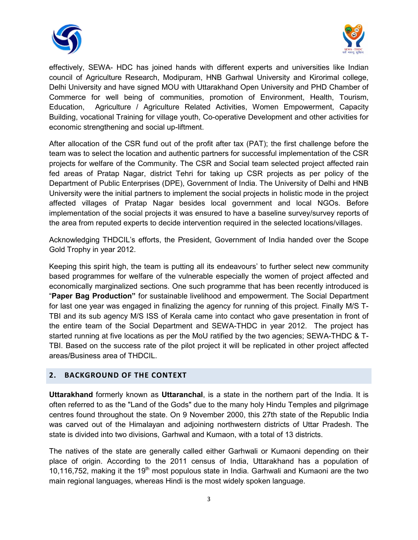



effectively, SEWA- HDC has joined hands with different experts and universities like Indian council of Agriculture Research, Modipuram, HNB Garhwal University and Kirorimal college, Delhi University and have signed MOU with Uttarakhand Open University and PHD Chamber of Commerce for well being of communities, promotion of Environment, Health, Tourism, Education, Agriculture / Agriculture Related Activities, Women Empowerment, Capacity Building, vocational Training for village youth, Co-operative Development and other activities for economic strengthening and social up-liftment.

After allocation of the CSR fund out of the profit after tax (PAT); the first challenge before the team was to select the location and authentic partners for successful implementation of the CSR projects for welfare of the Community. The CSR and Social team selected project affected rain fed areas of Pratap Nagar, district Tehri for taking up CSR projects as per policy of the Department of Public Enterprises (DPE), Government of India. The University of Delhi and HNB University were the initial partners to implement the social projects in holistic mode in the project affected villages of Pratap Nagar besides local government and local NGOs. Before implementation of the social projects it was ensured to have a baseline survey/survey reports of the area from reputed experts to decide intervention required in the selected locations/villages.

Acknowledging THDCIL's efforts, the President, Government of India handed over the Scope Gold Trophy in year 2012.

Keeping this spirit high, the team is putting all its endeavours' to further select new community based programmes for welfare of the vulnerable especially the women of project affected and economically marginalized sections. One such programme that has been recently introduced is "**Paper Bag Production"** for sustainable livelihood and empowerment. The Social Department for last one year was engaged in finalizing the agency for running of this project. Finally M/S T-TBI and its sub agency M/S ISS of Kerala came into contact who gave presentation in front of the entire team of the Social Department and SEWA-THDC in year 2012. The project has started running at five locations as per the MoU ratified by the two agencies; SEWA-THDC & T-TBI. Based on the success rate of the pilot project it will be replicated in other project affected areas/Business area of THDCIL.

## **2. BACKGROUND OF THE CONTEXT**

**Uttarakhand** formerly known as **Uttaranchal**, is a state in the northern part of the India. It is often referred to as the "Land of the Gods" due to the many holy Hindu Temples and pilgrimage centres found throughout the state. On 9 November 2000, this 27th state of the Republic India was carved out of the Himalayan and adjoining northwestern districts of Uttar Pradesh. The state is divided into two divisions, Garhwal and Kumaon, with a total of 13 districts.

The natives of the state are generally called either Garhwali or Kumaoni depending on their place of origin. According to the 2011 census of India, Uttarakhand has a population of 10,116,752, making it the 19<sup>th</sup> most populous state in India. Garhwali and Kumaoni are the two main regional languages, whereas Hindi is the most widely spoken language.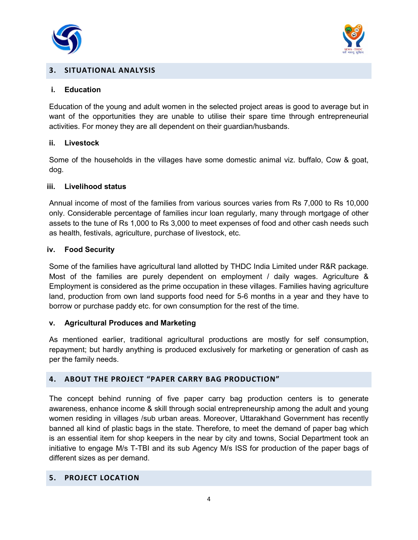



# **3. SITUATIONAL ANALYSIS**

#### **i. Education**

Education of the young and adult women in the selected project areas is good to average but in want of the opportunities they are unable to utilise their spare time through entrepreneurial activities. For money they are all dependent on their guardian/husbands.

#### **ii. Livestock**

Some of the households in the villages have some domestic animal viz. buffalo, Cow & goat, dog.

#### **iii. Livelihood status**

Annual income of most of the families from various sources varies from Rs 7,000 to Rs 10,000 only. Considerable percentage of families incur loan regularly, many through mortgage of other assets to the tune of Rs 1,000 to Rs 3,000 to meet expenses of food and other cash needs such as health, festivals, agriculture, purchase of livestock, etc.

#### **iv. Food Security**

Some of the families have agricultural land allotted by THDC India Limited under R&R package. Most of the families are purely dependent on employment / daily wages. Agriculture & Employment is considered as the prime occupation in these villages. Families having agriculture land, production from own land supports food need for 5-6 months in a year and they have to borrow or purchase paddy etc. for own consumption for the rest of the time.

## **v. Agricultural Produces and Marketing**

As mentioned earlier, traditional agricultural productions are mostly for self consumption, repayment; but hardly anything is produced exclusively for marketing or generation of cash as per the family needs.

## **4. ABOUT THE PROJECT "PAPER CARRY BAG PRODUCTION"**

The concept behind running of five paper carry bag production centers is to generate awareness, enhance income & skill through social entrepreneurship among the adult and young women residing in villages /sub urban areas. Moreover, Uttarakhand Government has recently banned all kind of plastic bags in the state. Therefore, to meet the demand of paper bag which is an essential item for shop keepers in the near by city and towns, Social Department took an initiative to engage M/s T-TBI and its sub Agency M/s ISS for production of the paper bags of different sizes as per demand.

# **5. PROJECT LOCATION**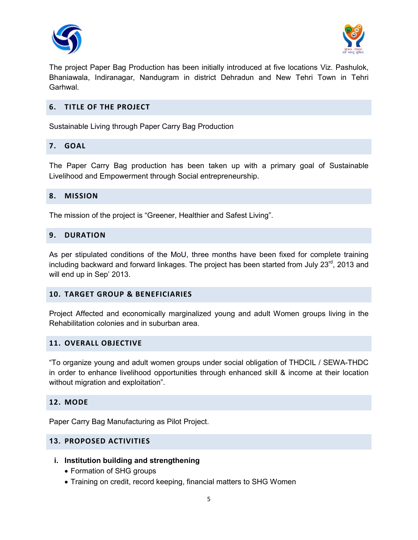



The project Paper Bag Production has been initially introduced at five locations Viz. Pashulok, Bhaniawala, Indiranagar, Nandugram in district Dehradun and New Tehri Town in Tehri Garhwal.

## **6. TITLE OF THE PROJECT**

Sustainable Living through Paper Carry Bag Production

## **7. GOAL**

The Paper Carry Bag production has been taken up with a primary goal of Sustainable Livelihood and Empowerment through Social entrepreneurship.

### **8. MISSION**

The mission of the project is "Greener, Healthier and Safest Living".

## **9. DURATION**

As per stipulated conditions of the MoU, three months have been fixed for complete training including backward and forward linkages. The project has been started from July  $23<sup>rd</sup>$ , 2013 and will end up in Sep' 2013.

## **10. TARGET GROUP & BENEFICIARIES**

Project Affected and economically marginalized young and adult Women groups living in the Rehabilitation colonies and in suburban area.

#### **11. OVERALL OBJECTIVE**

"To organize young and adult women groups under social obligation of THDCIL / SEWA-THDC in order to enhance livelihood opportunities through enhanced skill & income at their location without migration and exploitation".

#### **12. MODE**

Paper Carry Bag Manufacturing as Pilot Project.

## **13. PROPOSED ACTIVITIES**

- **i. Institution building and strengthening** 
	- Formation of SHG groups
	- Training on credit, record keeping, financial matters to SHG Women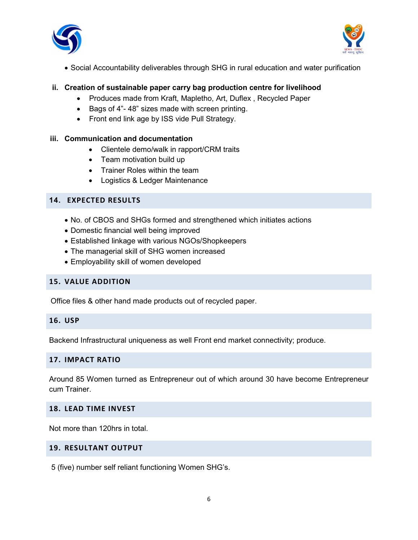



• Social Accountability deliverables through SHG in rural education and water purification

# **ii. Creation of sustainable paper carry bag production centre for livelihood**

- Produces made from Kraft, Mapletho, Art, Duflex , Recycled Paper
- Bags of 4"- 48" sizes made with screen printing.
- Front end link age by ISS vide Pull Strategy.

## **iii. Communication and documentation**

- Clientele demo/walk in rapport/CRM traits
- Team motivation build up
- Trainer Roles within the team
- Logistics & Ledger Maintenance

# **14. EXPECTED RESULTS**

- No. of CBOS and SHGs formed and strengthened which initiates actions
- Domestic financial well being improved
- Established linkage with various NGOs/Shopkeepers
- The managerial skill of SHG women increased
- Employability skill of women developed

# **15. VALUE ADDITION**

Office files & other hand made products out of recycled paper.

# **16. USP**

Backend Infrastructural uniqueness as well Front end market connectivity; produce.

## **17. IMPACT RATIO**

Around 85 Women turned as Entrepreneur out of which around 30 have become Entrepreneur cum Trainer.

## **18. LEAD TIME INVEST**

Not more than 120hrs in total.

#### **19. RESULTANT OUTPUT**

5 (five) number self reliant functioning Women SHG's.